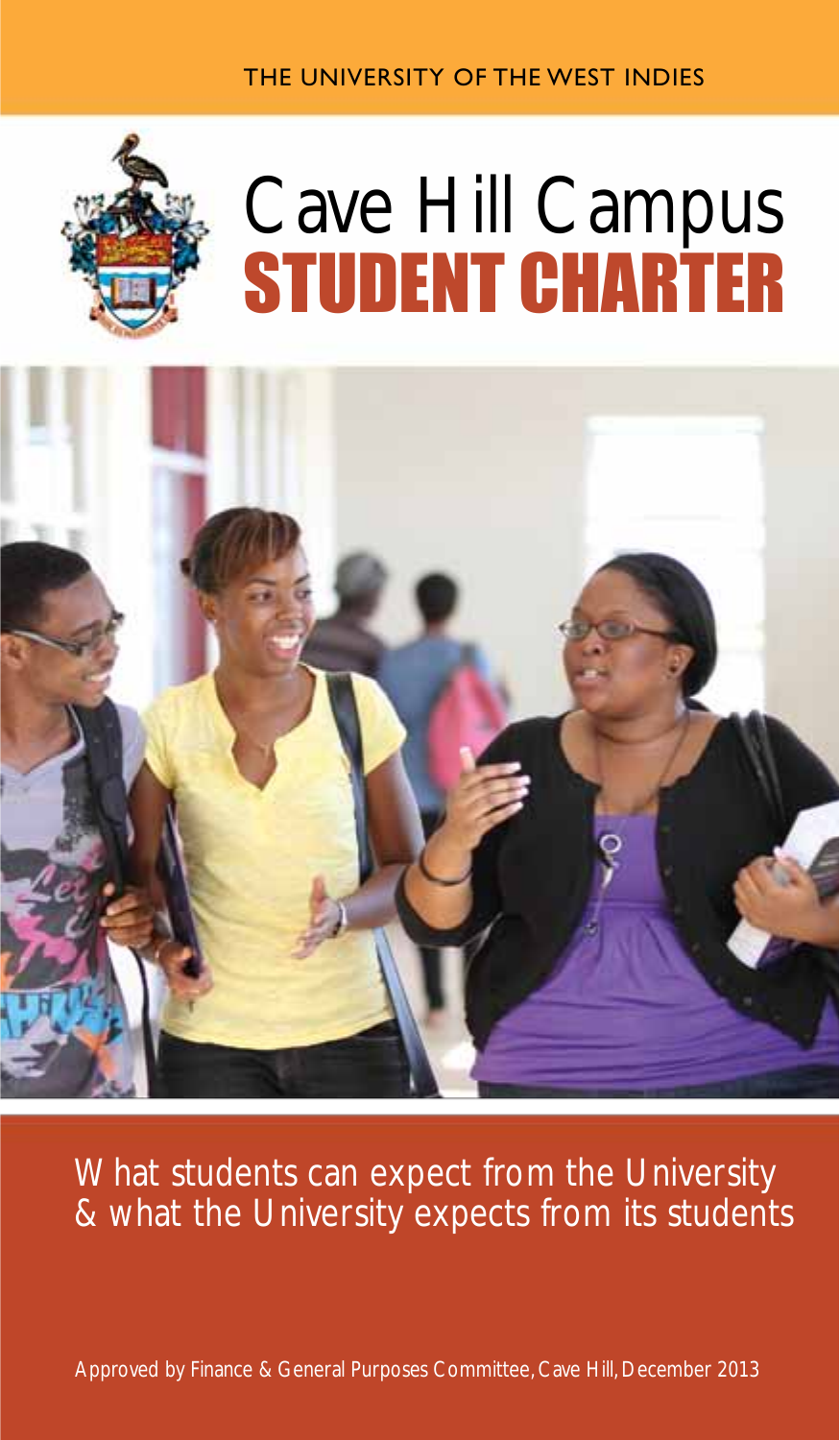THE UNIVERSITY OF THE WEST INDIES



# STUDENT CHARTER Cave Hill Campus



What students can expect from the University & what the University expects from its students

Approved by Finance & General Purposes Committee, Cave Hill, December 2013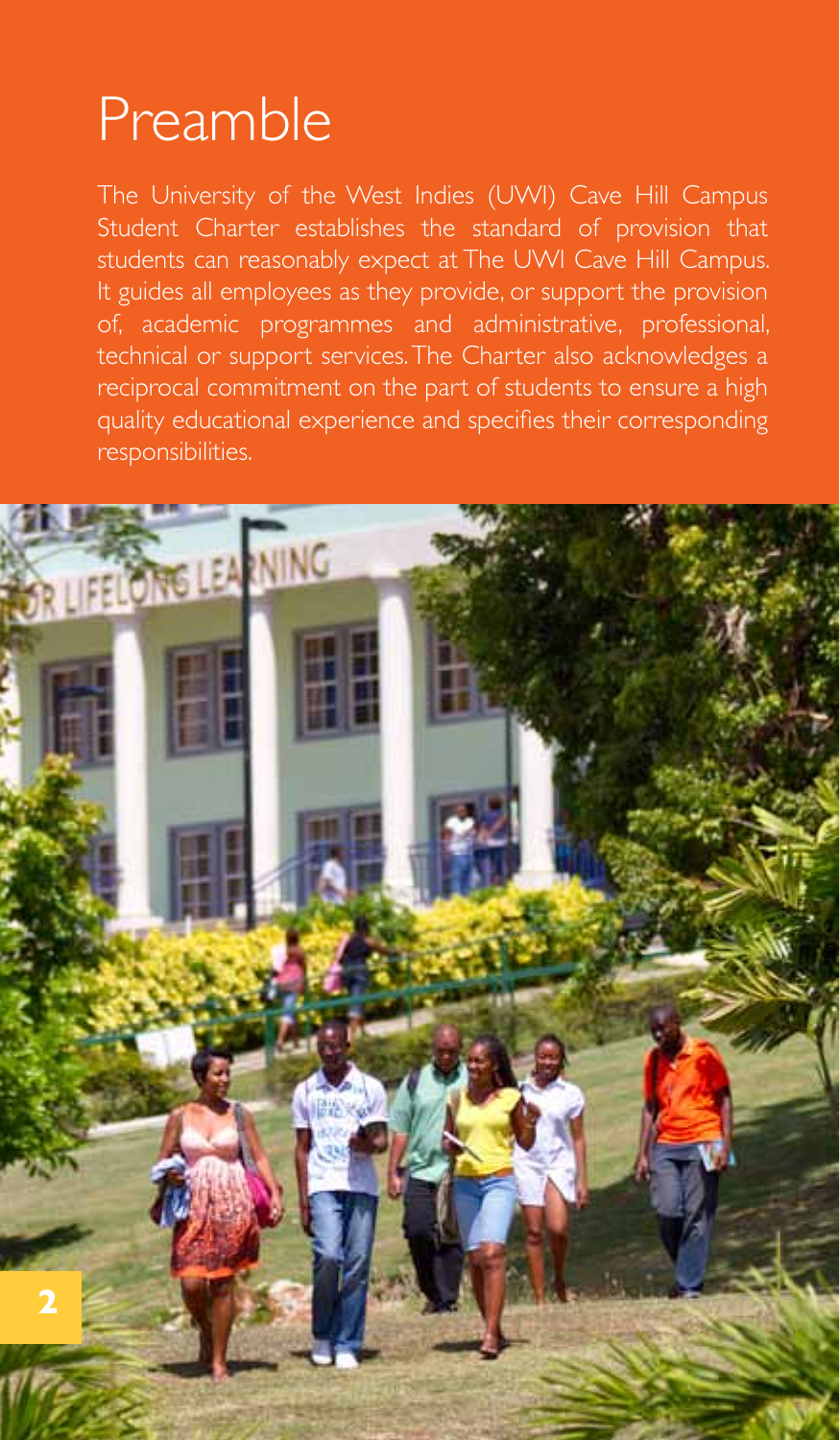## Preamble

The University of the West Indies (UWI) Cave Hill Campus Student Charter establishes the standard of provision that students can reasonably expect at The UWI Cave Hill Campus. It guides all employees as they provide, or support the provision of, academic programmes and administrative, professional, technical or support services. The Charter also acknowledges a reciprocal commitment on the part of students to ensure a high quality educational experience and specifies their corresponding responsibilities.

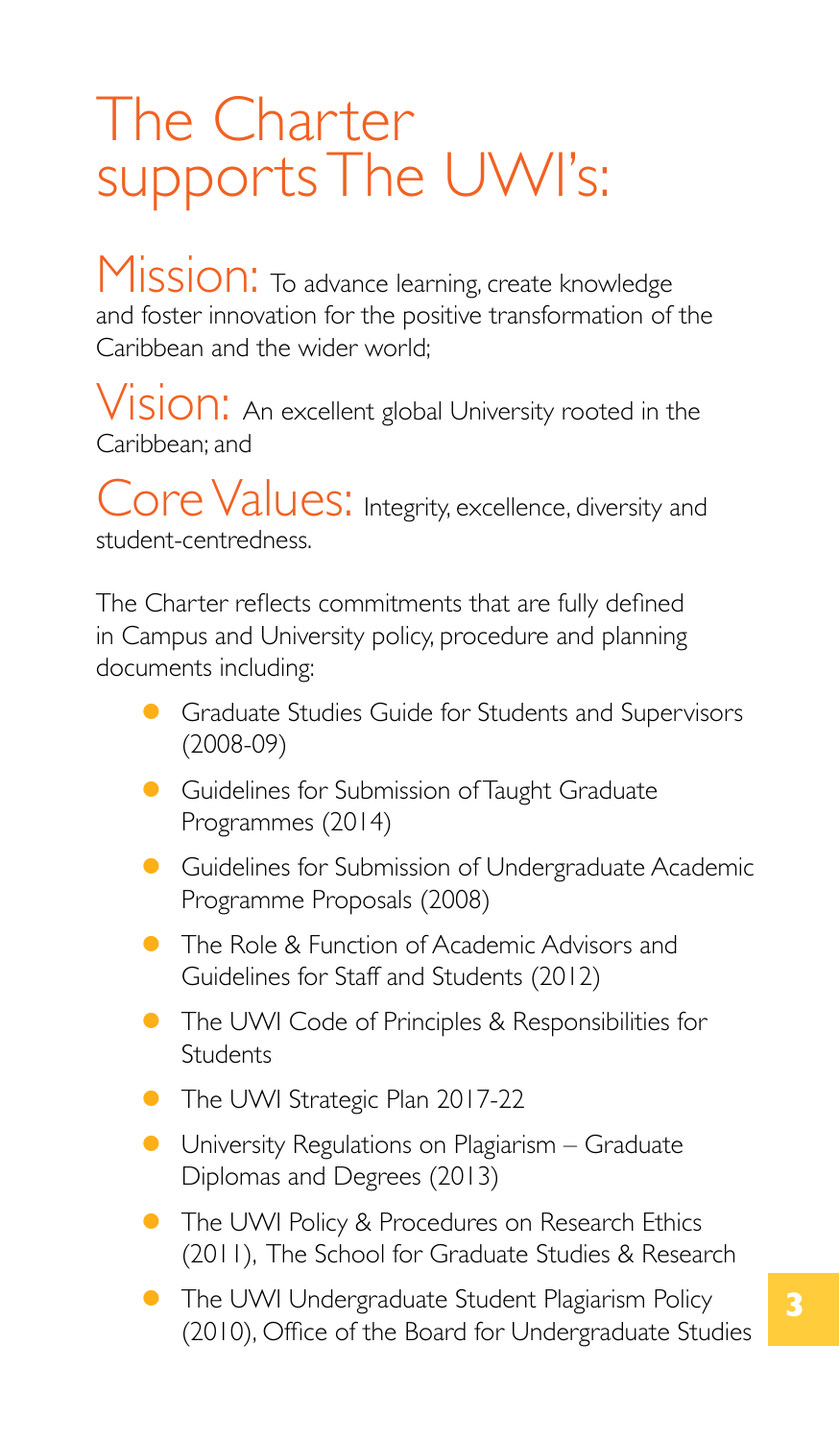### The Charter supports The UWI's:

Mission: To advance learning, create knowledge and foster innovation for the positive transformation of the Caribbean and the wider world;

VISION: An excellent global University rooted in the Caribbean; and

Core Values: Integrity, excellence, diversity and student-centredness.

The Charter reflects commitments that are fully defined in Campus and University policy, procedure and planning documents including:

- **C** Graduate Studies Guide for Students and Supervisors (2008-09)
- **C** Guidelines for Submission of Taught Graduate Programmes (2014)
- **C** Guidelines for Submission of Undergraduate Academic Programme Proposals (2008)
- **The Role & Function of Academic Advisors and** Guidelines for Staff and Students (2012)
- **The UWI Code of Principles & Responsibilities for Students**
- The UWI Strategic Plan 2017-22
- $\bullet$  University Regulations on Plagiarism Graduate Diplomas and Degrees (2013)
- **The UWI Policy & Procedures on Research Ethics** (2011), The School for Graduate Studies & Research
- **•** The UWI Undergraduate Student Plagiarism Policy (2010), Office of the Board for Undergraduate Studies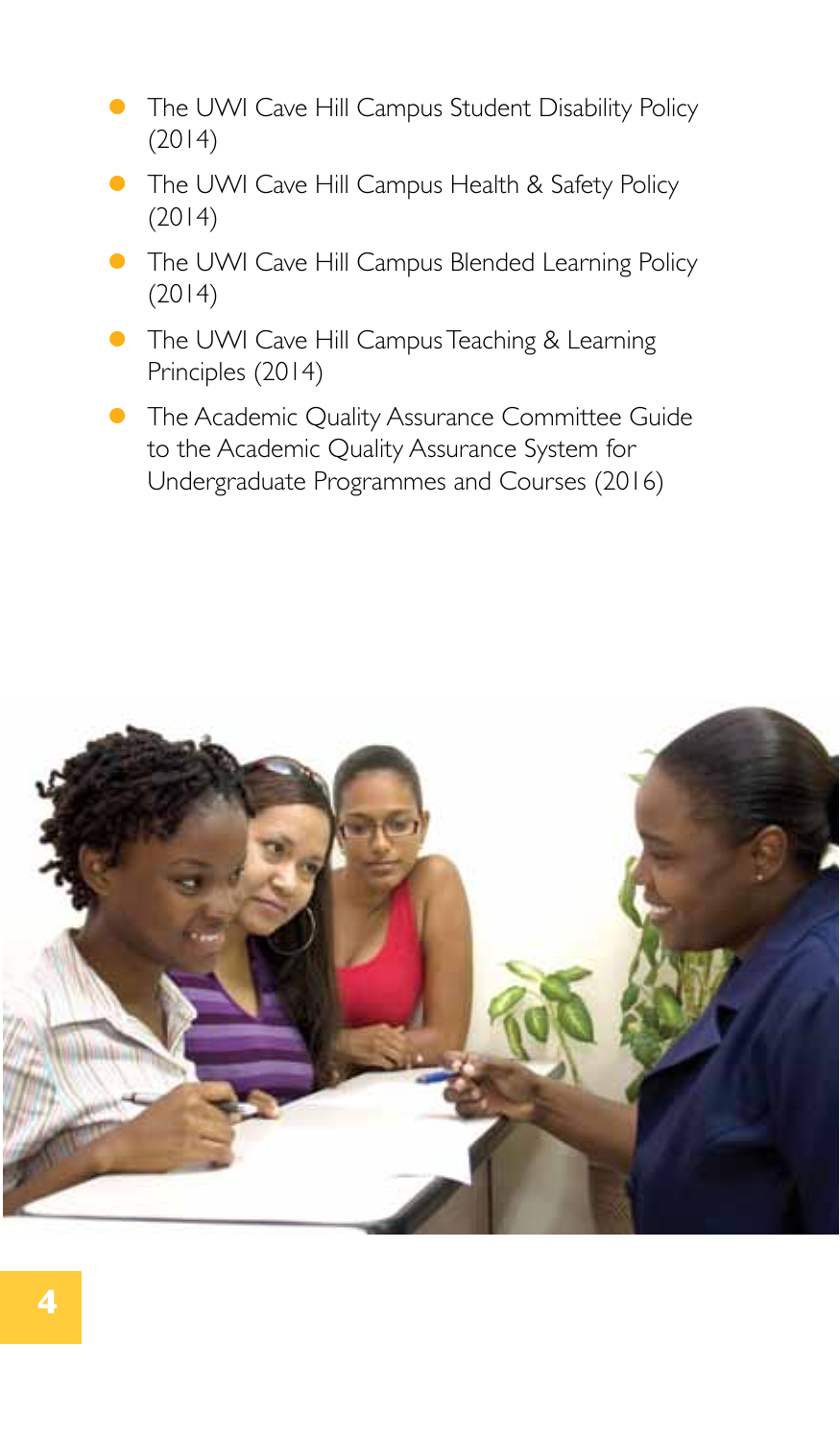- **•** The UWI Cave Hill Campus Student Disability Policy (2014)
- **The UWI Cave Hill Campus Health & Safety Policy** (2014)
- **The UWI Cave Hill Campus Blended Learning Policy** (2014)
- **The UWI Cave Hill Campus Teaching & Learning** Principles (2014)
- **The Academic Quality Assurance Committee Guide** to the Academic Quality Assurance System for Undergraduate Programmes and Courses (2016)

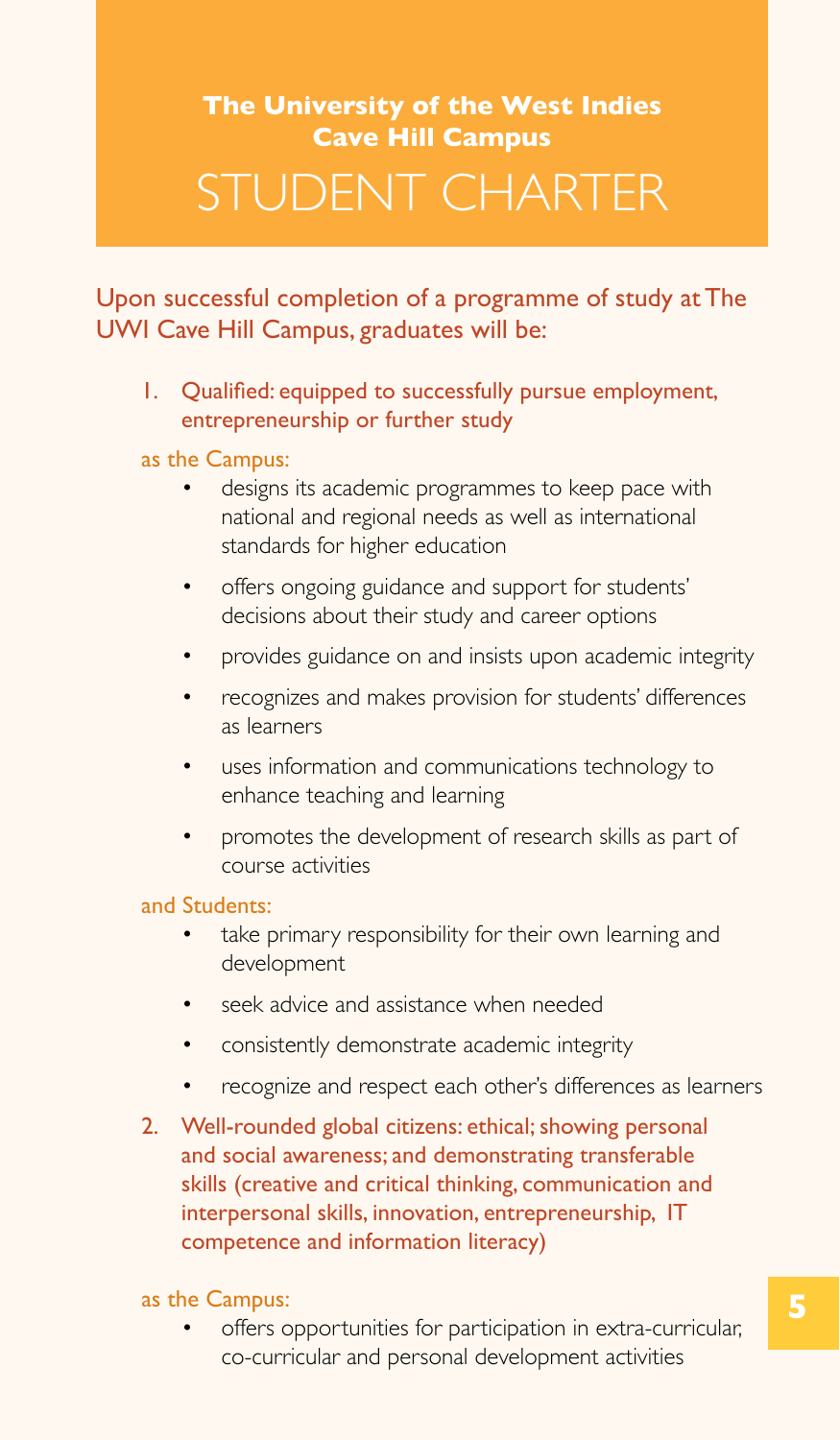### **The University of the West Indies Cave Hill Campus** STUDENT CHARTER

#### Upon successful completion of a programme of study at The UWI Cave Hill Campus, graduates will be:

1. Qualified: equipped to successfully pursue employment, entrepreneurship or further study

#### as the Campus:

- designs its academic programmes to keep pace with national and regional needs as well as international standards for higher education
- offers ongoing guidance and support for students' decisions about their study and career options
- provides guidance on and insists upon academic integrity
- recognizes and makes provision for students' differences as learners
- uses information and communications technology to enhance teaching and learning
- promotes the development of research skills as part of course activities

#### and Students:

- take primary responsibility for their own learning and development
- seek advice and assistance when needed
- consistently demonstrate academic integrity
- recognize and respect each other's differences as learners
- 2. Well-rounded global citizens: ethical; showing personal and social awareness; and demonstrating transferable skills (creative and critical thinking, communication and interpersonal skills, innovation, entrepreneurship, IT competence and information literacy)

#### as the Campus:

offers opportunities for participation in extra-curricular, co-curricular and personal development activities